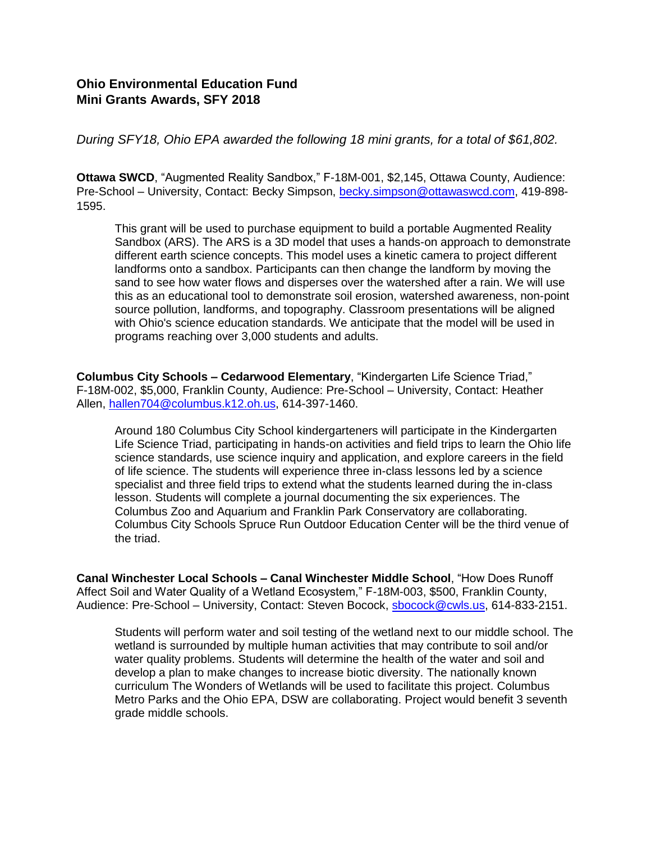## **Ohio Environmental Education Fund Mini Grants Awards, SFY 2018**

*During SFY18, Ohio EPA awarded the following 18 mini grants, for a total of \$61,802.* 

**Ottawa SWCD**, "Augmented Reality Sandbox," F-18M-001, \$2,145, Ottawa County, Audience: Pre-School – University, Contact: Becky Simpson, [becky.simpson@ottawaswcd.com,](mailto:becky.simpson@ottawaswcd.com) 419-898- 1595.

This grant will be used to purchase equipment to build a portable Augmented Reality Sandbox (ARS). The ARS is a 3D model that uses a hands-on approach to demonstrate different earth science concepts. This model uses a kinetic camera to project different landforms onto a sandbox. Participants can then change the landform by moving the sand to see how water flows and disperses over the watershed after a rain. We will use this as an educational tool to demonstrate soil erosion, watershed awareness, non-point source pollution, landforms, and topography. Classroom presentations will be aligned with Ohio's science education standards. We anticipate that the model will be used in programs reaching over 3,000 students and adults.

**Columbus City Schools – Cedarwood Elementary**, "Kindergarten Life Science Triad," F-18M-002, \$5,000, Franklin County, Audience: Pre-School – University, Contact: Heather Allen, [hallen704@columbus.k12.oh.us,](mailto:hallen704@columbus.k12.oh.us) 614-397-1460.

Around 180 Columbus City School kindergarteners will participate in the Kindergarten Life Science Triad, participating in hands-on activities and field trips to learn the Ohio life science standards, use science inquiry and application, and explore careers in the field of life science. The students will experience three in-class lessons led by a science specialist and three field trips to extend what the students learned during the in-class lesson. Students will complete a journal documenting the six experiences. The Columbus Zoo and Aquarium and Franklin Park Conservatory are collaborating. Columbus City Schools Spruce Run Outdoor Education Center will be the third venue of the triad.

**Canal Winchester Local Schools – Canal Winchester Middle School**, "How Does Runoff Affect Soil and Water Quality of a Wetland Ecosystem," F-18M-003, \$500, Franklin County, Audience: Pre-School – University, Contact: Steven Bocock, [sbocock@cwls.us,](mailto:sbocock@cwls.us) 614-833-2151.

Students will perform water and soil testing of the wetland next to our middle school. The wetland is surrounded by multiple human activities that may contribute to soil and/or water quality problems. Students will determine the health of the water and soil and develop a plan to make changes to increase biotic diversity. The nationally known curriculum The Wonders of Wetlands will be used to facilitate this project. Columbus Metro Parks and the Ohio EPA, DSW are collaborating. Project would benefit 3 seventh grade middle schools.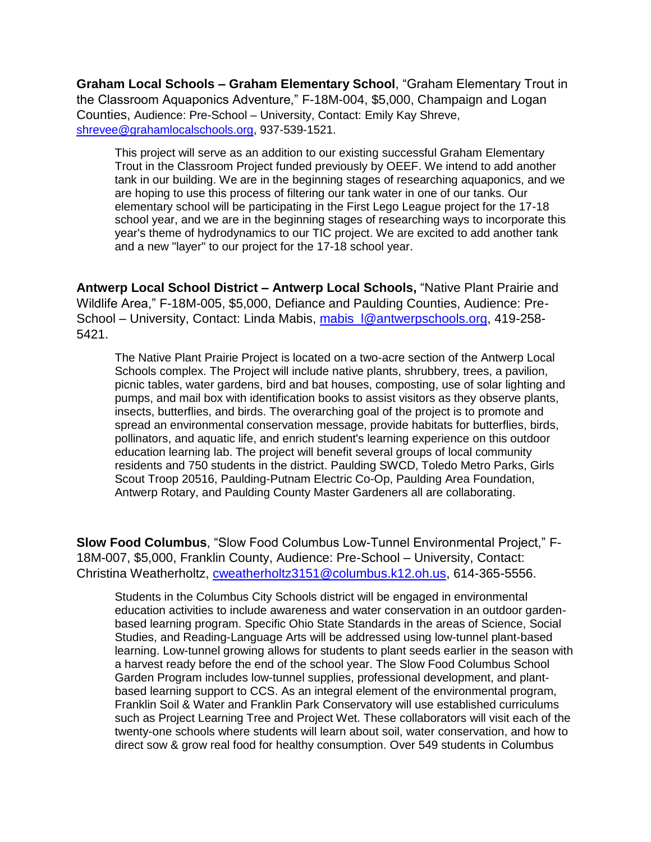**Graham Local Schools – Graham Elementary School**, "Graham Elementary Trout in the Classroom Aquaponics Adventure," F-18M-004, \$5,000, Champaign and Logan Counties, Audience: Pre-School – University, Contact: Emily Kay Shreve, [shrevee@grahamlocalschools.org,](mailto:shrevee@grahamlocalschools.org) 937-539-1521.

This project will serve as an addition to our existing successful Graham Elementary Trout in the Classroom Project funded previously by OEEF. We intend to add another tank in our building. We are in the beginning stages of researching aquaponics, and we are hoping to use this process of filtering our tank water in one of our tanks. Our elementary school will be participating in the First Lego League project for the 17-18 school year, and we are in the beginning stages of researching ways to incorporate this year's theme of hydrodynamics to our TIC project. We are excited to add another tank and a new "layer" to our project for the 17-18 school year.

**Antwerp Local School District – Antwerp Local Schools,** "Native Plant Prairie and Wildlife Area," F-18M-005, \$5,000, Defiance and Paulding Counties, Audience: Pre-School – University, Contact: Linda Mabis, mabis  $\sqrt{a}$ antwerpschools.org, 419-258-5421.

The Native Plant Prairie Project is located on a two-acre section of the Antwerp Local Schools complex. The Project will include native plants, shrubbery, trees, a pavilion, picnic tables, water gardens, bird and bat houses, composting, use of solar lighting and pumps, and mail box with identification books to assist visitors as they observe plants, insects, butterflies, and birds. The overarching goal of the project is to promote and spread an environmental conservation message, provide habitats for butterflies, birds, pollinators, and aquatic life, and enrich student's learning experience on this outdoor education learning lab. The project will benefit several groups of local community residents and 750 students in the district. Paulding SWCD, Toledo Metro Parks, Girls Scout Troop 20516, Paulding-Putnam Electric Co-Op, Paulding Area Foundation, Antwerp Rotary, and Paulding County Master Gardeners all are collaborating.

**Slow Food Columbus**, "Slow Food Columbus Low-Tunnel Environmental Project," F-18M-007, \$5,000, Franklin County, Audience: Pre-School – University, Contact: Christina Weatherholtz, [cweatherholtz3151@columbus.k12.oh.us,](mailto:cweatherholtz3151@columbus.k12.oh.us) 614-365-5556.

Students in the Columbus City Schools district will be engaged in environmental education activities to include awareness and water conservation in an outdoor gardenbased learning program. Specific Ohio State Standards in the areas of Science, Social Studies, and Reading-Language Arts will be addressed using low-tunnel plant-based learning. Low-tunnel growing allows for students to plant seeds earlier in the season with a harvest ready before the end of the school year. The Slow Food Columbus School Garden Program includes low-tunnel supplies, professional development, and plantbased learning support to CCS. As an integral element of the environmental program, Franklin Soil & Water and Franklin Park Conservatory will use established curriculums such as Project Learning Tree and Project Wet. These collaborators will visit each of the twenty-one schools where students will learn about soil, water conservation, and how to direct sow & grow real food for healthy consumption. Over 549 students in Columbus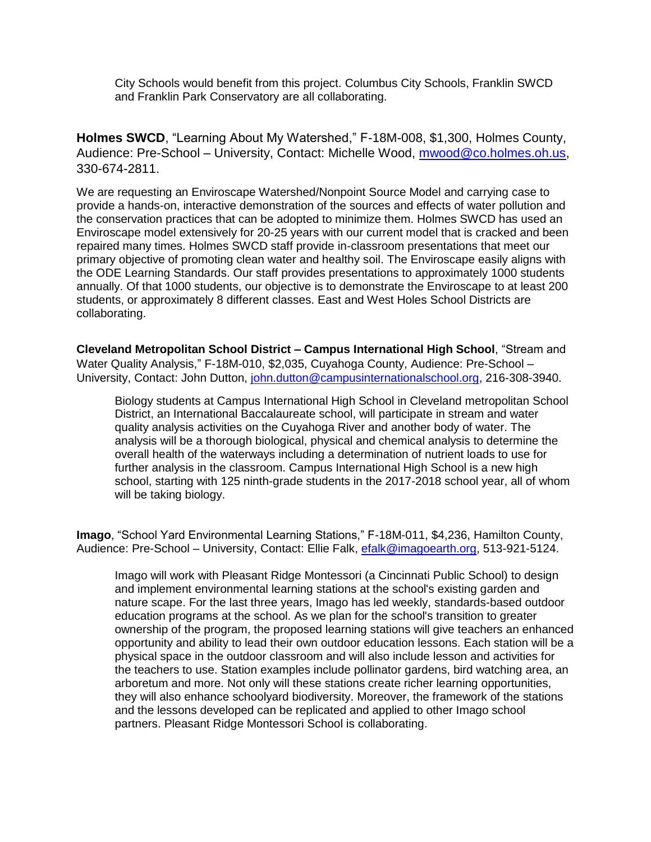City Schools would benefit from this project. Columbus City Schools, Franklin SWCD and Franklin Park Conservatory are all collaborating.

**Holmes SWCD**, "Learning About My Watershed," F-18M-008, \$1,300, Holmes County, Audience: Pre-School – University, Contact: Michelle Wood, [mwood@co.holmes.oh.us,](mailto:mwood@co.holmes.oh.us) 330-674-2811.

We are requesting an Enviroscape Watershed/Nonpoint Source Model and carrying case to provide a hands-on, interactive demonstration of the sources and effects of water pollution and the conservation practices that can be adopted to minimize them. Holmes SWCD has used an Enviroscape model extensively for 20-25 years with our current model that is cracked and been repaired many times. Holmes SWCD staff provide in-classroom presentations that meet our primary objective of promoting clean water and healthy soil. The Enviroscape easily aligns with the ODE Learning Standards. Our staff provides presentations to approximately 1000 students annually. Of that 1000 students, our objective is to demonstrate the Enviroscape to at least 200 students, or approximately 8 different classes. East and West Holes School Districts are collaborating.

**Cleveland Metropolitan School District – Campus International High School**, "Stream and Water Quality Analysis," F-18M-010, \$2,035, Cuyahoga County, Audience: Pre-School – University, Contact: John Dutton, [john.dutton@campusinternationalschool.org,](mailto:john.dutton@campusinternationalschool.org) 216-308-3940.

Biology students at Campus International High School in Cleveland metropolitan School District, an International Baccalaureate school, will participate in stream and water quality analysis activities on the Cuyahoga River and another body of water. The analysis will be a thorough biological, physical and chemical analysis to determine the overall health of the waterways including a determination of nutrient loads to use for further analysis in the classroom. Campus International High School is a new high school, starting with 125 ninth-grade students in the 2017-2018 school year, all of whom will be taking biology.

**Imago**, "School Yard Environmental Learning Stations," F-18M-011, \$4,236, Hamilton County, Audience: Pre-School – University, Contact: Ellie Falk, [efalk@imagoearth.org,](mailto:efalk@imagoearth.org) 513-921-5124.

Imago will work with Pleasant Ridge Montessori (a Cincinnati Public School) to design and implement environmental learning stations at the school's existing garden and nature scape. For the last three years, Imago has led weekly, standards-based outdoor education programs at the school. As we plan for the school's transition to greater ownership of the program, the proposed learning stations will give teachers an enhanced opportunity and ability to lead their own outdoor education lessons. Each station will be a physical space in the outdoor classroom and will also include lesson and activities for the teachers to use. Station examples include pollinator gardens, bird watching area, an arboretum and more. Not only will these stations create richer learning opportunities, they will also enhance schoolyard biodiversity. Moreover, the framework of the stations and the lessons developed can be replicated and applied to other Imago school partners. Pleasant Ridge Montessori School is collaborating.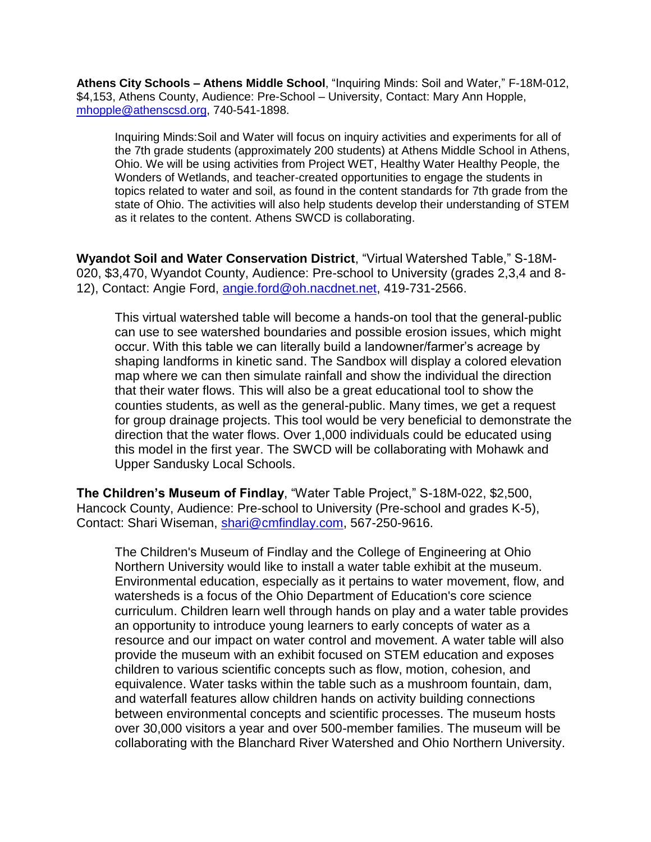**Athens City Schools – Athens Middle School**, "Inquiring Minds: Soil and Water," F-18M-012, \$4,153, Athens County, Audience: Pre-School – University, Contact: Mary Ann Hopple, [mhopple@athenscsd.org,](mailto:mhopple@athenscsd.org) 740-541-1898.

Inquiring Minds:Soil and Water will focus on inquiry activities and experiments for all of the 7th grade students (approximately 200 students) at Athens Middle School in Athens, Ohio. We will be using activities from Project WET, Healthy Water Healthy People, the Wonders of Wetlands, and teacher-created opportunities to engage the students in topics related to water and soil, as found in the content standards for 7th grade from the state of Ohio. The activities will also help students develop their understanding of STEM as it relates to the content. Athens SWCD is collaborating.

**Wyandot Soil and Water Conservation District**, "Virtual Watershed Table," S-18M-020, \$3,470, Wyandot County, Audience: Pre-school to University (grades 2,3,4 and 8- 12), Contact: Angie Ford, [angie.ford@oh.nacdnet.net,](mailto:angie.ford@oh.nacdnet.net) 419-731-2566.

This virtual watershed table will become a hands-on tool that the general-public can use to see watershed boundaries and possible erosion issues, which might occur. With this table we can literally build a landowner/farmer's acreage by shaping landforms in kinetic sand. The Sandbox will display a colored elevation map where we can then simulate rainfall and show the individual the direction that their water flows. This will also be a great educational tool to show the counties students, as well as the general-public. Many times, we get a request for group drainage projects. This tool would be very beneficial to demonstrate the direction that the water flows. Over 1,000 individuals could be educated using this model in the first year. The SWCD will be collaborating with Mohawk and Upper Sandusky Local Schools.

**The Children's Museum of Findlay**, "Water Table Project," S-18M-022, \$2,500, Hancock County, Audience: Pre-school to University (Pre-school and grades K-5), Contact: Shari Wiseman, [shari@cmfindlay.com,](mailto:shari@cmfindlay.com) 567-250-9616.

The Children's Museum of Findlay and the College of Engineering at Ohio Northern University would like to install a water table exhibit at the museum. Environmental education, especially as it pertains to water movement, flow, and watersheds is a focus of the Ohio Department of Education's core science curriculum. Children learn well through hands on play and a water table provides an opportunity to introduce young learners to early concepts of water as a resource and our impact on water control and movement. A water table will also provide the museum with an exhibit focused on STEM education and exposes children to various scientific concepts such as flow, motion, cohesion, and equivalence. Water tasks within the table such as a mushroom fountain, dam, and waterfall features allow children hands on activity building connections between environmental concepts and scientific processes. The museum hosts over 30,000 visitors a year and over 500-member families. The museum will be collaborating with the Blanchard River Watershed and Ohio Northern University.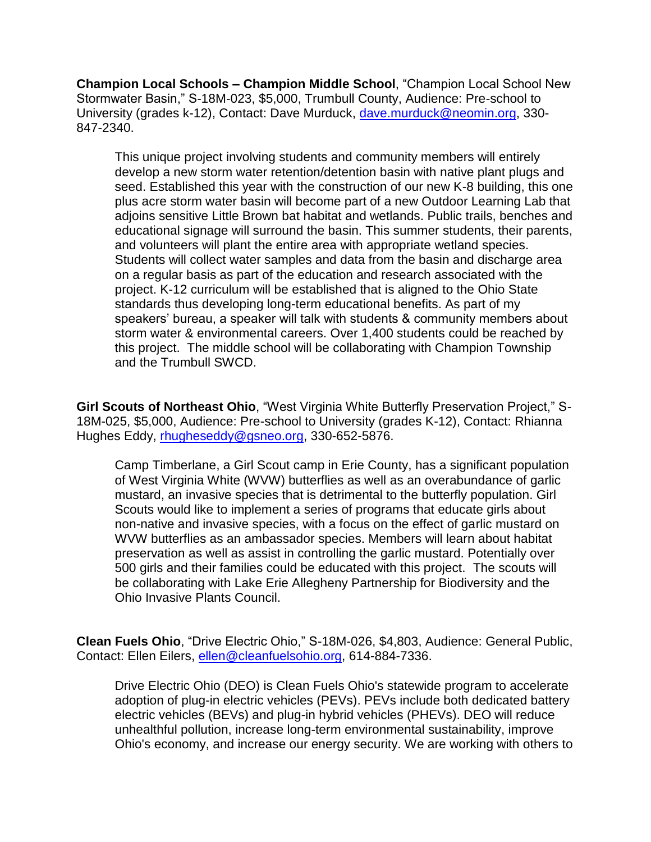**Champion Local Schools – Champion Middle School**, "Champion Local School New Stormwater Basin," S-18M-023, \$5,000, Trumbull County, Audience: Pre-school to University (grades k-12), Contact: Dave Murduck, [dave.murduck@neomin.org,](mailto:dave.murduck@neomin.org) 330- 847-2340.

This unique project involving students and community members will entirely develop a new storm water retention/detention basin with native plant plugs and seed. Established this year with the construction of our new K-8 building, this one plus acre storm water basin will become part of a new Outdoor Learning Lab that adjoins sensitive Little Brown bat habitat and wetlands. Public trails, benches and educational signage will surround the basin. This summer students, their parents, and volunteers will plant the entire area with appropriate wetland species. Students will collect water samples and data from the basin and discharge area on a regular basis as part of the education and research associated with the project. K-12 curriculum will be established that is aligned to the Ohio State standards thus developing long-term educational benefits. As part of my speakers' bureau, a speaker will talk with students & community members about storm water & environmental careers. Over 1,400 students could be reached by this project. The middle school will be collaborating with Champion Township and the Trumbull SWCD.

**Girl Scouts of Northeast Ohio**, "West Virginia White Butterfly Preservation Project," S-18M-025, \$5,000, Audience: Pre-school to University (grades K-12), Contact: Rhianna Hughes Eddy, [rhugheseddy@gsneo.org,](mailto:rhugheseddy@gsneo.org) 330-652-5876.

Camp Timberlane, a Girl Scout camp in Erie County, has a significant population of West Virginia White (WVW) butterflies as well as an overabundance of garlic mustard, an invasive species that is detrimental to the butterfly population. Girl Scouts would like to implement a series of programs that educate girls about non-native and invasive species, with a focus on the effect of garlic mustard on WVW butterflies as an ambassador species. Members will learn about habitat preservation as well as assist in controlling the garlic mustard. Potentially over 500 girls and their families could be educated with this project. The scouts will be collaborating with Lake Erie Allegheny Partnership for Biodiversity and the Ohio Invasive Plants Council.

**Clean Fuels Ohio**, "Drive Electric Ohio," S-18M-026, \$4,803, Audience: General Public, Contact: Ellen Eilers, [ellen@cleanfuelsohio.org,](mailto:ellen@cleanfuelsohio.org) 614-884-7336.

Drive Electric Ohio (DEO) is Clean Fuels Ohio's statewide program to accelerate adoption of plug-in electric vehicles (PEVs). PEVs include both dedicated battery electric vehicles (BEVs) and plug-in hybrid vehicles (PHEVs). DEO will reduce unhealthful pollution, increase long-term environmental sustainability, improve Ohio's economy, and increase our energy security. We are working with others to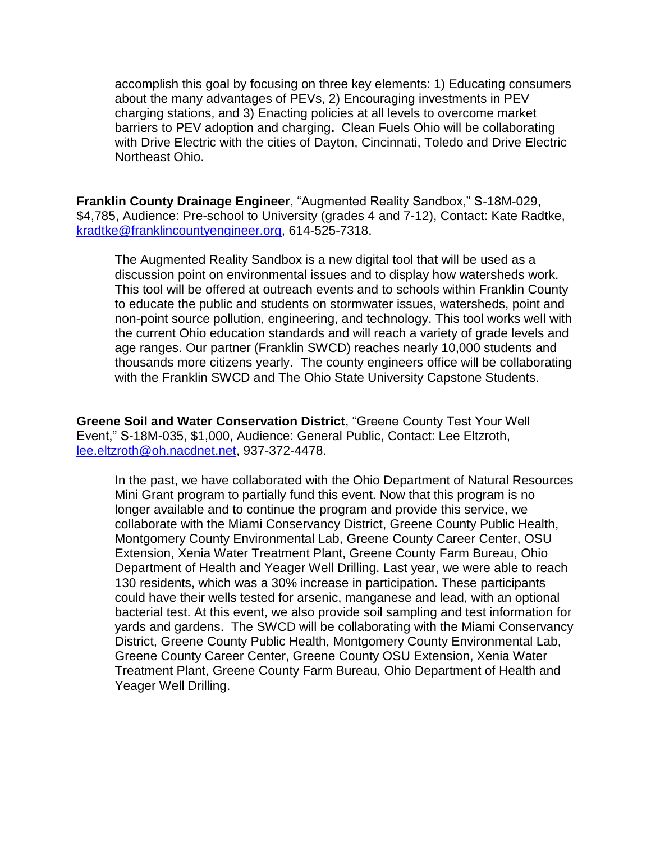accomplish this goal by focusing on three key elements: 1) Educating consumers about the many advantages of PEVs, 2) Encouraging investments in PEV charging stations, and 3) Enacting policies at all levels to overcome market barriers to PEV adoption and charging**.** Clean Fuels Ohio will be collaborating with Drive Electric with the cities of Dayton, Cincinnati, Toledo and Drive Electric Northeast Ohio.

**Franklin County Drainage Engineer**, "Augmented Reality Sandbox," S-18M-029, \$4,785, Audience: Pre-school to University (grades 4 and 7-12), Contact: Kate Radtke, [kradtke@franklincountyengineer.org,](mailto:kradtke@franklincountyengineer.org) 614-525-7318.

The Augmented Reality Sandbox is a new digital tool that will be used as a discussion point on environmental issues and to display how watersheds work. This tool will be offered at outreach events and to schools within Franklin County to educate the public and students on stormwater issues, watersheds, point and non-point source pollution, engineering, and technology. This tool works well with the current Ohio education standards and will reach a variety of grade levels and age ranges. Our partner (Franklin SWCD) reaches nearly 10,000 students and thousands more citizens yearly. The county engineers office will be collaborating with the Franklin SWCD and The Ohio State University Capstone Students.

**Greene Soil and Water Conservation District**, "Greene County Test Your Well Event," S-18M-035, \$1,000, Audience: General Public, Contact: Lee Eltzroth, [lee.eltzroth@oh.nacdnet.net,](mailto:lee.eltzroth@oh.nacdnet.net) 937-372-4478.

In the past, we have collaborated with the Ohio Department of Natural Resources Mini Grant program to partially fund this event. Now that this program is no longer available and to continue the program and provide this service, we collaborate with the Miami Conservancy District, Greene County Public Health, Montgomery County Environmental Lab, Greene County Career Center, OSU Extension, Xenia Water Treatment Plant, Greene County Farm Bureau, Ohio Department of Health and Yeager Well Drilling. Last year, we were able to reach 130 residents, which was a 30% increase in participation. These participants could have their wells tested for arsenic, manganese and lead, with an optional bacterial test. At this event, we also provide soil sampling and test information for yards and gardens. The SWCD will be collaborating with the Miami Conservancy District, Greene County Public Health, Montgomery County Environmental Lab, Greene County Career Center, Greene County OSU Extension, Xenia Water Treatment Plant, Greene County Farm Bureau, Ohio Department of Health and Yeager Well Drilling.